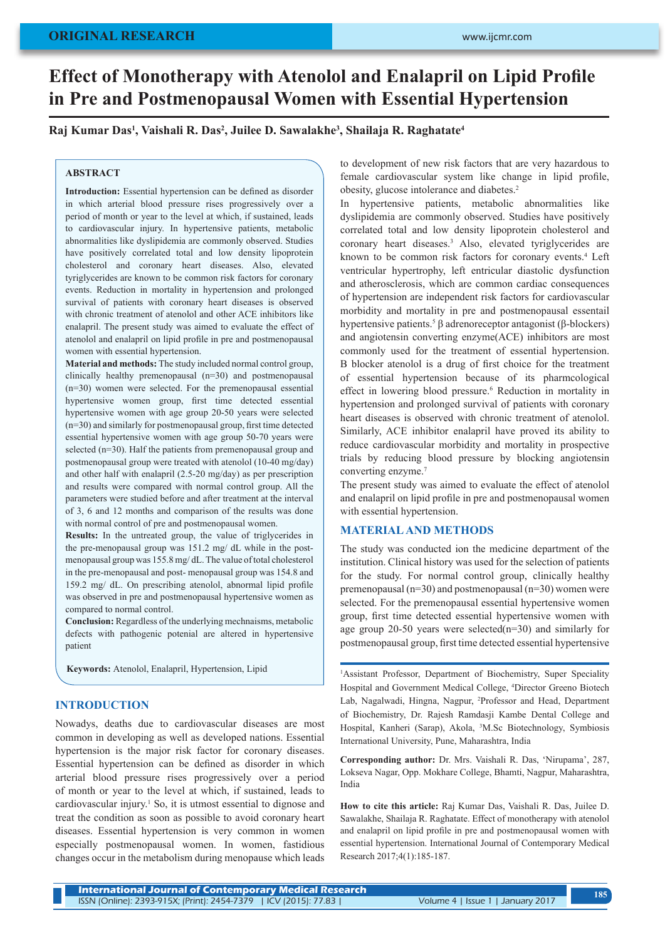# **Effect of Monotherapy with Atenolol and Enalapril on Lipid Profile in Pre and Postmenopausal Women with Essential Hypertension**

**Raj Kumar Das1 , Vaishali R. Das2 , Juilee D. Sawalakhe3 , Shailaja R. Raghatate4**

# **ABSTRACT**

**Introduction:** Essential hypertension can be defined as disorder in which arterial blood pressure rises progressively over a period of month or year to the level at which, if sustained, leads to cardiovascular injury. In hypertensive patients, metabolic abnormalities like dyslipidemia are commonly observed. Studies have positively correlated total and low density lipoprotein cholesterol and coronary heart diseases. Also, elevated tyriglycerides are known to be common risk factors for coronary events. Reduction in mortality in hypertension and prolonged survival of patients with coronary heart diseases is observed with chronic treatment of atenolol and other ACE inhibitors like enalapril. The present study was aimed to evaluate the effect of atenolol and enalapril on lipid profile in pre and postmenopausal women with essential hypertension.

**Material and methods:** The study included normal control group, clinically healthy premenopausal (n=30) and postmenopausal (n=30) women were selected. For the premenopausal essential hypertensive women group, first time detected essential hypertensive women with age group 20-50 years were selected (n=30) and similarly for postmenopausal group, first time detected essential hypertensive women with age group 50-70 years were selected (n=30). Half the patients from premenopausal group and postmenopausal group were treated with atenolol (10-40 mg/day) and other half with enalapril (2.5-20 mg/day) as per prescription and results were compared with normal control group. All the parameters were studied before and after treatment at the interval of 3, 6 and 12 months and comparison of the results was done with normal control of pre and postmenopausal women.

**Results:** In the untreated group, the value of triglycerides in the pre-menopausal group was 151.2 mg/ dL while in the postmenopausal group was 155.8 mg/ dL. The value of total cholesterol in the pre-menopausal and post- menopausal group was 154.8 and 159.2 mg/ dL. On prescribing atenolol, abnormal lipid profile was observed in pre and postmenopausal hypertensive women as compared to normal control.

**Conclusion:** Regardless of the underlying mechnaisms, metabolic defects with pathogenic potenial are altered in hypertensive patient

**Keywords:** Atenolol, Enalapril, Hypertension, Lipid

# **INTRODUCTION**

Nowadys, deaths due to cardiovascular diseases are most common in developing as well as developed nations. Essential hypertension is the major risk factor for coronary diseases. Essential hypertension can be defined as disorder in which arterial blood pressure rises progressively over a period of month or year to the level at which, if sustained, leads to cardiovascular injury.<sup>1</sup> So, it is utmost essential to dignose and treat the condition as soon as possible to avoid coronary heart diseases. Essential hypertension is very common in women especially postmenopausal women. In women, fastidious changes occur in the metabolism during menopause which leads

to development of new risk factors that are very hazardous to female cardiovascular system like change in lipid profile, obesity, glucose intolerance and diabetes.2

In hypertensive patients, metabolic abnormalities like dyslipidemia are commonly observed. Studies have positively correlated total and low density lipoprotein cholesterol and coronary heart diseases.3 Also, elevated tyriglycerides are known to be common risk factors for coronary events.4 Left ventricular hypertrophy, left entricular diastolic dysfunction and atherosclerosis, which are common cardiac consequences of hypertension are independent risk factors for cardiovascular morbidity and mortality in pre and postmenopausal essentail hypertensive patients.<sup>5</sup> β adrenoreceptor antagonist (β-blockers) and angiotensin converting enzyme(ACE) inhibitors are most commonly used for the treatment of essential hypertension. B blocker atenolol is a drug of first choice for the treatment of essential hypertension because of its pharmcological effect in lowering blood pressure.<sup>6</sup> Reduction in mortality in hypertension and prolonged survival of patients with coronary heart diseases is observed with chronic treatment of atenolol. Similarly, ACE inhibitor enalapril have proved its ability to reduce cardiovascular morbidity and mortality in prospective trials by reducing blood pressure by blocking angiotensin converting enzyme.<sup>7</sup>

The present study was aimed to evaluate the effect of atenolol and enalapril on lipid profile in pre and postmenopausal women with essential hypertension.

# **MATERIAL AND METHODS**

The study was conducted ion the medicine department of the institution. Clinical history was used for the selection of patients for the study. For normal control group, clinically healthy premenopausal (n=30) and postmenopausal (n=30) women were selected. For the premenopausal essential hypertensive women group, first time detected essential hypertensive women with age group 20-50 years were selected(n=30) and similarly for postmenopausal group, first time detected essential hypertensive

<sup>1</sup>Assistant Professor, Department of Biochemistry, Super Speciality Hospital and Government Medical College, 4 Director Greeno Biotech Lab, Nagalwadi, Hingna, Nagpur, 2 Professor and Head, Department of Biochemistry, Dr. Rajesh Ramdasji Kambe Dental College and Hospital, Kanheri (Sarap), Akola, <sup>3</sup>M.Sc Biotechnology, Symbiosis International University, Pune, Maharashtra, India

**Corresponding author:** Dr. Mrs. Vaishali R. Das, 'Nirupama', 287, Lokseva Nagar, Opp. Mokhare College, Bhamti, Nagpur, Maharashtra, India

**How to cite this article:** Raj Kumar Das, Vaishali R. Das, Juilee D. Sawalakhe, Shailaja R. Raghatate. Effect of monotherapy with atenolol and enalapril on lipid profile in pre and postmenopausal women with essential hypertension. International Journal of Contemporary Medical Research 2017;4(1):185-187.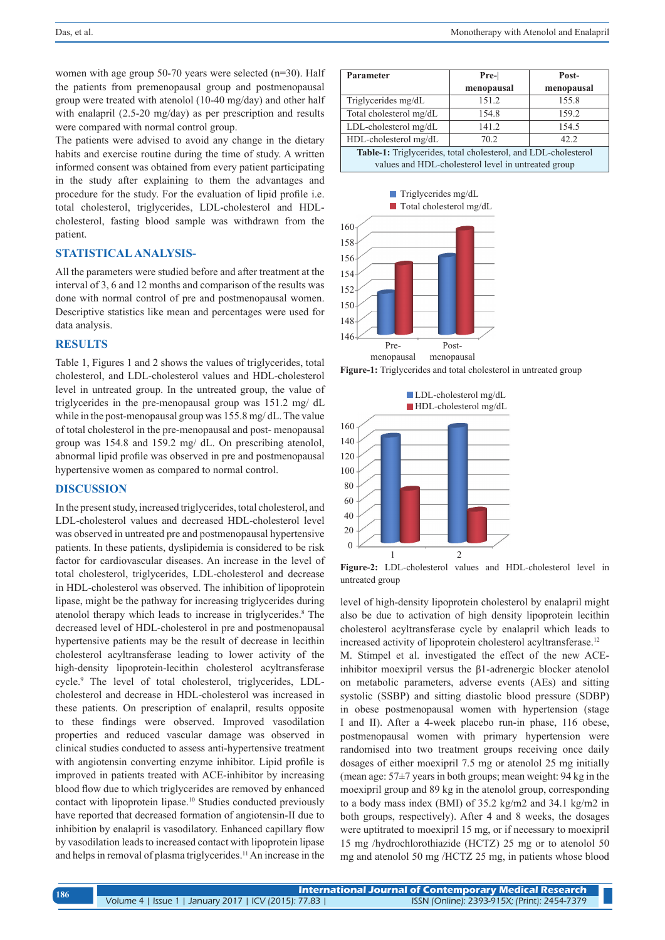women with age group 50-70 years were selected (n=30). Half the patients from premenopausal group and postmenopausal group were treated with atenolol (10-40 mg/day) and other half with enalapril (2.5-20 mg/day) as per prescription and results were compared with normal control group.

The patients were advised to avoid any change in the dietary habits and exercise routine during the time of study. A written informed consent was obtained from every patient participating in the study after explaining to them the advantages and procedure for the study. For the evaluation of lipid profile i.e. total cholesterol, triglycerides, LDL-cholesterol and HDLcholesterol, fasting blood sample was withdrawn from the patient.

#### **STATISTICAL ANALYSIS-**

All the parameters were studied before and after treatment at the interval of 3, 6 and 12 months and comparison of the results was done with normal control of pre and postmenopausal women. Descriptive statistics like mean and percentages were used for data analysis.

#### **RESULTS**

Table 1, Figures 1 and 2 shows the values of triglycerides, total cholesterol, and LDL-cholesterol values and HDL-cholesterol level in untreated group. In the untreated group, the value of triglycerides in the pre-menopausal group was 151.2 mg/ dL while in the post-menopausal group was 155.8 mg/ dL. The value of total cholesterol in the pre-menopausal and post- menopausal group was 154.8 and 159.2 mg/ dL. On prescribing atenolol, abnormal lipid profile was observed in pre and postmenopausal hypertensive women as compared to normal control.

# **DISCUSSION**

In the present study, increased triglycerides, total cholesterol, and LDL-cholesterol values and decreased HDL-cholesterol level was observed in untreated pre and postmenopausal hypertensive patients. In these patients, dyslipidemia is considered to be risk factor for cardiovascular diseases. An increase in the level of total cholesterol, triglycerides, LDL-cholesterol and decrease in HDL-cholesterol was observed. The inhibition of lipoprotein lipase, might be the pathway for increasing triglycerides during atenolol therapy which leads to increase in triglycerides.<sup>8</sup> The decreased level of HDL-cholesterol in pre and postmenopausal hypertensive patients may be the result of decrease in lecithin cholesterol acyltransferase leading to lower activity of the high-density lipoprotein-lecithin cholesterol acyltransferase cycle.<sup>9</sup> The level of total cholesterol, triglycerides, LDLcholesterol and decrease in HDL-cholesterol was increased in these patients. On prescription of enalapril, results opposite to these findings were observed. Improved vasodilation properties and reduced vascular damage was observed in clinical studies conducted to assess anti-hypertensive treatment with angiotensin converting enzyme inhibitor. Lipid profile is improved in patients treated with ACE-inhibitor by increasing blood flow due to which triglycerides are removed by enhanced contact with lipoprotein lipase.<sup>10</sup> Studies conducted previously have reported that decreased formation of angiotensin-II due to inhibition by enalapril is vasodilatory. Enhanced capillary flow by vasodilation leads to increased contact with lipoprotein lipase and helps in removal of plasma triglycerides.11 An increase in the

| Parameter                                                      | Pre-       | Post-      |
|----------------------------------------------------------------|------------|------------|
|                                                                | menopausal | menopausal |
| Triglycerides mg/dL                                            | 151.2      | 155.8      |
| Total cholesterol mg/dL                                        | 154.8      | 159.2      |
| LDL-cholesterol mg/dL                                          | 141.2      | 154.5      |
| HDL-cholesterol mg/dL                                          | 70.2       | 42.2       |
| Table-1: Triglycerides, total cholesterol, and LDL-cholesterol |            |            |
| values and HDL-cholesterol level in untreated group            |            |            |







**Figure-2:** LDL-cholesterol values and HDL-cholesterol level in untreated group

level of high-density lipoprotein cholesterol by enalapril might also be due to activation of high density lipoprotein lecithin cholesterol acyltransferase cycle by enalapril which leads to increased activity of lipoprotein cholesterol acyltransferase.<sup>12</sup>

M. Stimpel et al. investigated the effect of the new ACEinhibitor moexipril versus the β1-adrenergic blocker atenolol on metabolic parameters, adverse events (AEs) and sitting systolic (SSBP) and sitting diastolic blood pressure (SDBP) in obese postmenopausal women with hypertension (stage I and II). After a 4-week placebo run-in phase, 116 obese, postmenopausal women with primary hypertension were randomised into two treatment groups receiving once daily dosages of either moexipril 7.5 mg or atenolol 25 mg initially (mean age:  $57\pm7$  years in both groups; mean weight: 94 kg in the moexipril group and 89 kg in the atenolol group, corresponding to a body mass index (BMI) of 35.2 kg/m2 and 34.1 kg/m2 in both groups, respectively). After 4 and 8 weeks, the dosages were uptitrated to moexipril 15 mg, or if necessary to moexipril 15 mg /hydrochlorothiazide (HCTZ) 25 mg or to atenolol 50 mg and atenolol 50 mg /HCTZ 25 mg, in patients whose blood